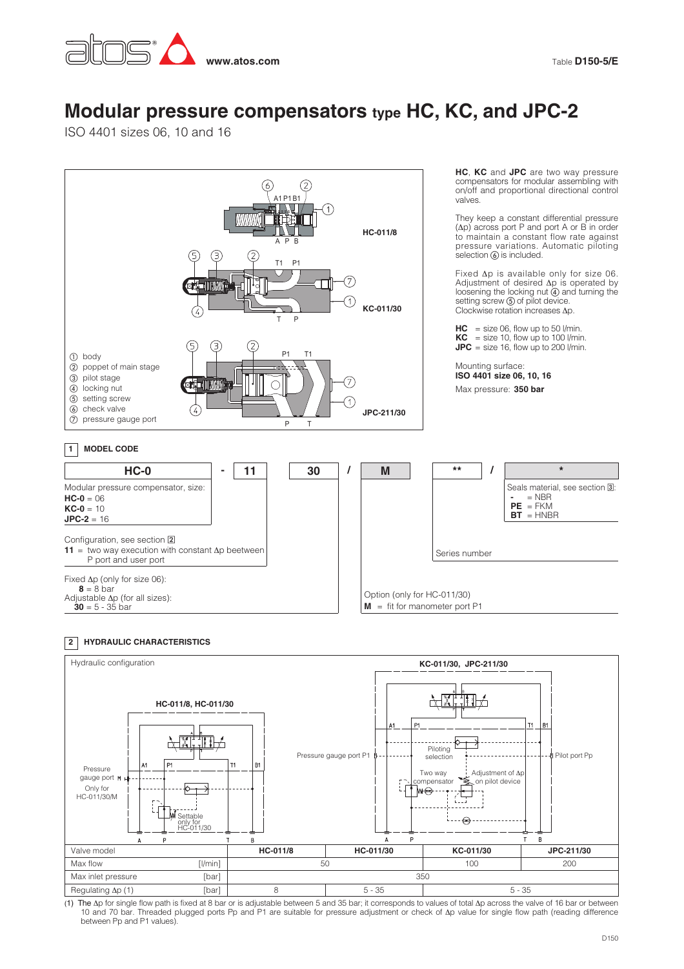

## **Modular pressure compensators type HC, KC, and JPC-2**

ISO 4401 sizes 06, 10 and 16



## **HYDRAULIC CHARACTERISTICS 2**



The Ap for single flow path is fixed at 8 bar or is adjustable between 5 and 35 bar; it corresponds to values of total Ap across the valve of 16 bar or between)<br>10 and 70 bar. Threaded plugged ports Pp and P1 are suitable between Pp and P1 values).